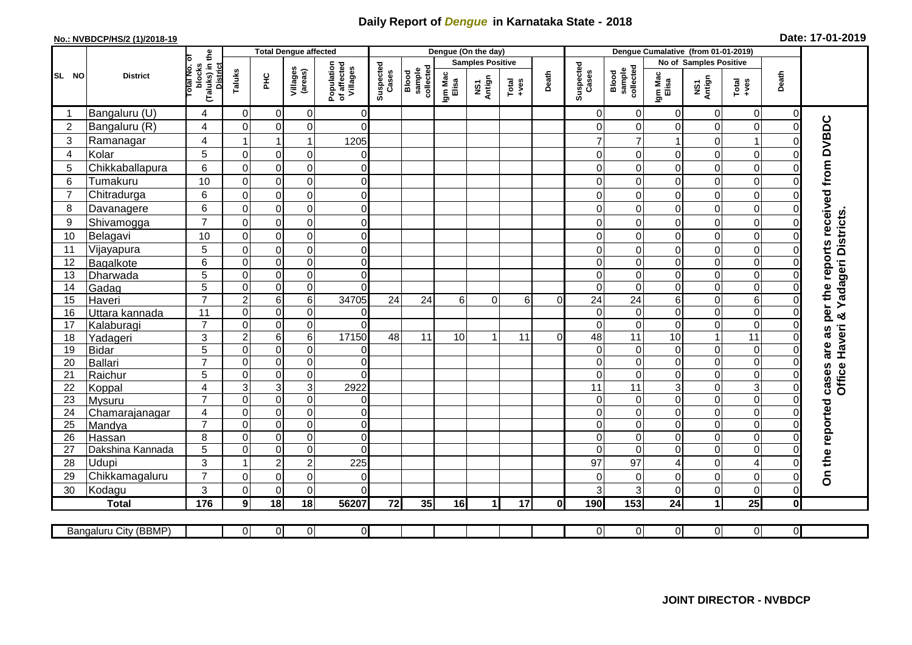## **Daily Report of** *Dengue* **in Karnataka State - 2018**

## **No.: NVBDCP/HS/2 (1)/2018-19 Date: 17-01-2019**

| (Taluks) in the<br>lotal No. ol<br><b>Samples Positive</b><br>No of Samples Positive<br>Population<br>of affected<br>Villages<br>Suspected<br>Cases<br>Suspected<br>blocks<br>collected<br>Blood<br>sample<br>collected<br>Villages<br>(areas)<br>sample<br>Taluks<br>Cases<br>Blood<br>Death<br>Death<br>Igm Mac<br>Elisa<br>Igm Mac<br>Elisa<br><b>District</b><br>ЭHС<br>NS1<br>Antign<br>NS1<br>Antign<br>Total<br>$+ve$ s<br>$Total$<br>Bangaluru (U)<br>$\Omega$<br>$\mathbf 0$<br>0<br>$\overline{0}$<br>$\Omega$<br>$\mathbf 0$<br>$\overline{0}$<br>4<br>$\Omega$<br>$\Omega$<br>$\Omega$<br>are as per the reports received from DVBDC<br>Bangaluru (R)<br>$\mathbf 0$<br>$\overline{c}$<br>4<br>$\Omega$<br>$\mathbf 0$<br>0<br>$\Omega$<br>$\mathbf 0$<br>$\Omega$<br>0<br>0<br>$\Omega$<br>3<br>4<br>$\mathbf{1}$<br>Ramanagar<br>$\overline{1}$<br>$\mathbf{1}$<br>1205<br>7<br>0<br>$\bigcap$<br>5<br>$\overline{0}$<br>Kolar<br>$\mathbf 0$<br>$\mathbf 0$<br>$\mathbf 0$<br>$\mathbf 0$<br>$\Omega$<br>$\Omega$<br>0<br>$\mathbf 0$<br>4<br>0<br>6<br>$\mathsf{O}\xspace$<br>0<br>5<br>Chikkaballapura<br>$\mathbf 0$<br>$\Omega$<br>$\overline{0}$<br>$\Omega$<br>0<br>0<br>0<br>$\Omega$<br>10<br>$\overline{0}$<br>6<br>Tumakuru<br>$\pmb{0}$<br>$\mathbf 0$<br>$\overline{0}$<br>0<br>0<br>$\Omega$<br>$\Omega$<br>0<br>$\Omega$<br>$\overline{0}$<br>6<br>$\mathsf 0$<br>$\overline{7}$<br>Chitradurga<br>$\mathbf 0$<br>0<br>$\mathbf 0$<br>$\overline{0}$<br>$\mathbf 0$<br>$\Omega$<br>0<br>$\mathbf 0$<br>$\overline{0}$<br>6<br>$\mathsf 0$<br>$\mathbf 0$<br>0<br>8<br>$\Omega$<br>$\overline{0}$<br>$\Omega$<br>Davanagere<br>$\Omega$<br>0<br>$\Omega$<br><b>Yadageri Districts</b><br>$\overline{7}$<br>Shivamogga<br>$\mathsf 0$<br>$\mathbf 0$<br>9<br>$\mathbf 0$<br>0<br>$\Omega$<br>$\Omega$<br>$\Omega$<br>$\Omega$<br>$\Omega$<br>$\Omega$<br>10<br>$\mathsf 0$<br>$\pmb{0}$<br>$\mathbf 0$<br>10<br>Belagavi<br>$\Omega$<br>$\overline{0}$<br>0<br>$\Omega$<br>0<br>$\Omega$<br>$\Omega$<br>$\mathbf 0$<br>$\mathsf 0$<br>5<br>Vijayapura<br>$\pmb{0}$<br>$\overline{0}$<br>11<br>$\mathbf 0$<br>0<br>0<br>$\Omega$<br>0<br>$\Omega$<br>$\overline{0}$<br>$\overline{0}$<br>$\mathbf 0$<br>$\overline{0}$<br>$\overline{0}$<br>0<br>6<br>$\Omega$<br>$\Omega$<br>$\mathbf 0$<br>$\mathbf 0$<br>12<br>Bagalkote<br>$\overline{0}$<br>$\overline{0}$<br>$\overline{5}$<br>$\overline{0}$<br>$\mathbf 0$<br>$\overline{0}$<br>$\mathbf 0$<br>13<br>$\mathbf 0$<br>0<br>$\Omega$<br>Dharwada<br>$\Omega$<br>$\overline{5}$<br>$\overline{0}$<br>$\pmb{0}$<br>$\overline{0}$<br>$\mathbf 0$<br>$\mathbf 0$<br>$\pmb{0}$<br>$\Omega$<br>14<br>Gadag<br>$\Omega$<br>0<br>$\Omega$<br>$\overline{7}$<br>6<br>$\overline{6}$<br>24<br>$\mathbf 2$<br>15<br>$\,6$<br>34705<br>24<br>24<br>24<br>0<br>6<br>$\Omega$<br>6<br>$\Omega$<br>6<br>Haveri<br>$\Omega$<br>$\overline{0}$<br>0<br>11<br>$\mathbf 0$<br>$\mathbf 0$<br>$\Omega$<br>0<br>$\Omega$<br>0<br>16<br>Uttara kannada<br>$\Omega$<br>$\Omega$<br>ಳ<br>$\overline{0}$<br>$\overline{7}$<br>$\Omega$<br>$\mathbf 0$<br>0<br>$\Omega$<br>$\Omega$<br>0<br>17<br>$\Omega$<br>$\Omega$<br>$\Omega$<br>Kalaburagi<br>Haveri<br>3<br>6<br>17150<br>11<br>$\overline{2}$<br>$\,6$<br>48<br>11<br>18<br>10<br>11<br>48<br>11<br>10<br>1<br>$\Omega$<br>Yadageri<br>1<br>$\Omega$<br>5<br>$\mathbf 0$<br>$\pmb{0}$<br>0<br>0<br>$\mathbf 0$<br>19<br><b>Bidar</b><br>$\overline{0}$<br>$\Omega$<br>$\Omega$<br>$\Omega$<br>$\mathbf 0$<br>O<br>$\overline{7}$<br>$\pmb{0}$<br>$\overline{0}$<br>Ballari<br>$\mathbf 0$<br>$\Omega$<br>0<br>0<br>0<br>20<br>0<br>C<br>cases<br>Office<br>$\overline{0}$<br>5<br>$\overline{0}$<br>$\Omega$<br>$\Omega$<br>21<br>Raichur<br>$\Omega$<br>$\mathbf 0$<br>0<br>$\Omega$<br>$\Omega$<br>$\Omega$<br>ω<br>$\sqrt{3}$<br>3<br>$\overline{4}$<br>3<br>11<br>3<br>$\boldsymbol{0}$<br>22<br>2922<br>11<br>$\mathbf 0$<br>Koppal<br>$\overline{0}$<br>$\overline{0}$<br>$\overline{7}$<br>$\mathbf 0$<br>$\mathbf 0$<br>$\overline{0}$<br>$\overline{0}$<br>$\mathbf 0$<br>$\overline{0}$<br>$\overline{0}$<br>$\Omega$<br>23<br>Mysuru<br>On the reported<br>$\overline{0}$<br>$\mathbf 0$<br>$\overline{0}$<br>$\mathbf 0$<br>$\pmb{0}$<br>$\overline{0}$<br>0<br>24<br>4<br>$\Omega$<br>0<br>$\mathbf 0$<br>Chamarajanagar<br>$\overline{7}$<br>0<br>$\overline{0}$<br>25<br>$\mathbf 0$<br>$\overline{0}$<br>$\Omega$<br>0<br>0<br>0<br>$\Omega$<br>$\Omega$<br>Mandya<br>$\overline{0}$<br>8<br>$\mathbf 0$<br>26<br>$\mathbf 0$<br>$\mathbf 0$<br>$\overline{0}$<br>$\Omega$<br>$\mathbf 0$<br>$\mathbf 0$<br>$\Omega$<br>$\Omega$<br>Hassan<br>$\mathbf 0$<br>0<br>0<br>$\mathbf 0$<br>5<br>$\Omega$<br>$\Omega$<br>$\Omega$<br>$\Omega$<br>Dakshina Kannada<br>$\Omega$<br>$\Omega$<br>27<br>3<br>Udupi<br>$\boldsymbol{2}$<br>$\overline{\mathbf{4}}$<br>28<br>$\overline{2}$<br>225<br>97<br>$\overline{1}$<br>97<br>0<br>$\mathbf 0$<br>4<br>$\overline{7}$<br>Chikkamagaluru<br>$\mathbf 0$<br>0<br>$\overline{0}$<br>29<br>$\Omega$<br>$\overline{0}$<br>$\Omega$<br>$\overline{0}$<br>$\mathbf 0$<br>$\Omega$<br>$\Omega$<br>$\mathbf 0$<br>3<br>$\mathbf 0$<br>$\mathbf 0$<br>0<br>$\mathbf 0$<br>Kodagu<br>$\Omega$<br>$\Omega$<br>3<br>3<br>30<br>$\Omega$<br>25<br>176<br>9<br>18<br>18<br>35<br>17<br>153<br>$\mathbf{1}$<br>$\mathbf 0$<br><b>Total</b><br>56207<br>72<br>16<br>0l<br>190<br>24<br>$\blacktriangleleft$ |       |                       |          | <b>Total Dengue affected</b> |                |                |  |  | Dengue (On the day) |  |   |                |                |                |                |                |  |
|-------------------------------------------------------------------------------------------------------------------------------------------------------------------------------------------------------------------------------------------------------------------------------------------------------------------------------------------------------------------------------------------------------------------------------------------------------------------------------------------------------------------------------------------------------------------------------------------------------------------------------------------------------------------------------------------------------------------------------------------------------------------------------------------------------------------------------------------------------------------------------------------------------------------------------------------------------------------------------------------------------------------------------------------------------------------------------------------------------------------------------------------------------------------------------------------------------------------------------------------------------------------------------------------------------------------------------------------------------------------------------------------------------------------------------------------------------------------------------------------------------------------------------------------------------------------------------------------------------------------------------------------------------------------------------------------------------------------------------------------------------------------------------------------------------------------------------------------------------------------------------------------------------------------------------------------------------------------------------------------------------------------------------------------------------------------------------------------------------------------------------------------------------------------------------------------------------------------------------------------------------------------------------------------------------------------------------------------------------------------------------------------------------------------------------------------------------------------------------------------------------------------------------------------------------------------------------------------------------------------------------------------------------------------------------------------------------------------------------------------------------------------------------------------------------------------------------------------------------------------------------------------------------------------------------------------------------------------------------------------------------------------------------------------------------------------------------------------------------------------------------------------------------------------------------------------------------------------------------------------------------------------------------------------------------------------------------------------------------------------------------------------------------------------------------------------------------------------------------------------------------------------------------------------------------------------------------------------------------------------------------------------------------------------------------------------------------------------------------------------------------------------------------------------------------------------------------------------------------------------------------------------------------------------------------------------------------------------------------------------------------------------------------------------------------------------------------------------------------------------------------------------------------------------------------------------------------------------------------------------------------------------------------------------------------------------------------------------------------------------------------------------------------------------------------------------------------------------------------------------------------------------------------------------------------------------------------------------------------------------------------------------------------------------------------------------------------------------------------------------------------------------------------------------------------------------------------------------------------------------------------------------------------------------------------------------------------------------------------------------------------------------------------------------------------------------------------------------------------------------------------------------------------------------------------------------------------------------------------------------------------------------------------------------------------------------------------------------------------------------------------------------------------------------------------------------------------------------|-------|-----------------------|----------|------------------------------|----------------|----------------|--|--|---------------------|--|---|----------------|----------------|----------------|----------------|----------------|--|
|                                                                                                                                                                                                                                                                                                                                                                                                                                                                                                                                                                                                                                                                                                                                                                                                                                                                                                                                                                                                                                                                                                                                                                                                                                                                                                                                                                                                                                                                                                                                                                                                                                                                                                                                                                                                                                                                                                                                                                                                                                                                                                                                                                                                                                                                                                                                                                                                                                                                                                                                                                                                                                                                                                                                                                                                                                                                                                                                                                                                                                                                                                                                                                                                                                                                                                                                                                                                                                                                                                                                                                                                                                                                                                                                                                                                                                                                                                                                                                                                                                                                                                                                                                                                                                                                                                                                                                                                                                                                                                                                                                                                                                                                                                                                                                                                                                                                                                                                                                                                                                                                                                                                                                                                                                                                                                                                                                                                                                                                   |       |                       |          |                              |                |                |  |  |                     |  |   |                |                |                |                |                |  |
|                                                                                                                                                                                                                                                                                                                                                                                                                                                                                                                                                                                                                                                                                                                                                                                                                                                                                                                                                                                                                                                                                                                                                                                                                                                                                                                                                                                                                                                                                                                                                                                                                                                                                                                                                                                                                                                                                                                                                                                                                                                                                                                                                                                                                                                                                                                                                                                                                                                                                                                                                                                                                                                                                                                                                                                                                                                                                                                                                                                                                                                                                                                                                                                                                                                                                                                                                                                                                                                                                                                                                                                                                                                                                                                                                                                                                                                                                                                                                                                                                                                                                                                                                                                                                                                                                                                                                                                                                                                                                                                                                                                                                                                                                                                                                                                                                                                                                                                                                                                                                                                                                                                                                                                                                                                                                                                                                                                                                                                                   | SL NO |                       |          |                              |                |                |  |  |                     |  |   |                |                |                |                |                |  |
|                                                                                                                                                                                                                                                                                                                                                                                                                                                                                                                                                                                                                                                                                                                                                                                                                                                                                                                                                                                                                                                                                                                                                                                                                                                                                                                                                                                                                                                                                                                                                                                                                                                                                                                                                                                                                                                                                                                                                                                                                                                                                                                                                                                                                                                                                                                                                                                                                                                                                                                                                                                                                                                                                                                                                                                                                                                                                                                                                                                                                                                                                                                                                                                                                                                                                                                                                                                                                                                                                                                                                                                                                                                                                                                                                                                                                                                                                                                                                                                                                                                                                                                                                                                                                                                                                                                                                                                                                                                                                                                                                                                                                                                                                                                                                                                                                                                                                                                                                                                                                                                                                                                                                                                                                                                                                                                                                                                                                                                                   |       |                       |          |                              |                |                |  |  |                     |  |   |                |                |                |                |                |  |
|                                                                                                                                                                                                                                                                                                                                                                                                                                                                                                                                                                                                                                                                                                                                                                                                                                                                                                                                                                                                                                                                                                                                                                                                                                                                                                                                                                                                                                                                                                                                                                                                                                                                                                                                                                                                                                                                                                                                                                                                                                                                                                                                                                                                                                                                                                                                                                                                                                                                                                                                                                                                                                                                                                                                                                                                                                                                                                                                                                                                                                                                                                                                                                                                                                                                                                                                                                                                                                                                                                                                                                                                                                                                                                                                                                                                                                                                                                                                                                                                                                                                                                                                                                                                                                                                                                                                                                                                                                                                                                                                                                                                                                                                                                                                                                                                                                                                                                                                                                                                                                                                                                                                                                                                                                                                                                                                                                                                                                                                   |       |                       |          |                              |                |                |  |  |                     |  |   |                |                |                |                |                |  |
|                                                                                                                                                                                                                                                                                                                                                                                                                                                                                                                                                                                                                                                                                                                                                                                                                                                                                                                                                                                                                                                                                                                                                                                                                                                                                                                                                                                                                                                                                                                                                                                                                                                                                                                                                                                                                                                                                                                                                                                                                                                                                                                                                                                                                                                                                                                                                                                                                                                                                                                                                                                                                                                                                                                                                                                                                                                                                                                                                                                                                                                                                                                                                                                                                                                                                                                                                                                                                                                                                                                                                                                                                                                                                                                                                                                                                                                                                                                                                                                                                                                                                                                                                                                                                                                                                                                                                                                                                                                                                                                                                                                                                                                                                                                                                                                                                                                                                                                                                                                                                                                                                                                                                                                                                                                                                                                                                                                                                                                                   |       |                       |          |                              |                |                |  |  |                     |  |   |                |                |                |                |                |  |
|                                                                                                                                                                                                                                                                                                                                                                                                                                                                                                                                                                                                                                                                                                                                                                                                                                                                                                                                                                                                                                                                                                                                                                                                                                                                                                                                                                                                                                                                                                                                                                                                                                                                                                                                                                                                                                                                                                                                                                                                                                                                                                                                                                                                                                                                                                                                                                                                                                                                                                                                                                                                                                                                                                                                                                                                                                                                                                                                                                                                                                                                                                                                                                                                                                                                                                                                                                                                                                                                                                                                                                                                                                                                                                                                                                                                                                                                                                                                                                                                                                                                                                                                                                                                                                                                                                                                                                                                                                                                                                                                                                                                                                                                                                                                                                                                                                                                                                                                                                                                                                                                                                                                                                                                                                                                                                                                                                                                                                                                   |       |                       |          |                              |                |                |  |  |                     |  |   |                |                |                |                |                |  |
|                                                                                                                                                                                                                                                                                                                                                                                                                                                                                                                                                                                                                                                                                                                                                                                                                                                                                                                                                                                                                                                                                                                                                                                                                                                                                                                                                                                                                                                                                                                                                                                                                                                                                                                                                                                                                                                                                                                                                                                                                                                                                                                                                                                                                                                                                                                                                                                                                                                                                                                                                                                                                                                                                                                                                                                                                                                                                                                                                                                                                                                                                                                                                                                                                                                                                                                                                                                                                                                                                                                                                                                                                                                                                                                                                                                                                                                                                                                                                                                                                                                                                                                                                                                                                                                                                                                                                                                                                                                                                                                                                                                                                                                                                                                                                                                                                                                                                                                                                                                                                                                                                                                                                                                                                                                                                                                                                                                                                                                                   |       |                       |          |                              |                |                |  |  |                     |  |   |                |                |                |                |                |  |
|                                                                                                                                                                                                                                                                                                                                                                                                                                                                                                                                                                                                                                                                                                                                                                                                                                                                                                                                                                                                                                                                                                                                                                                                                                                                                                                                                                                                                                                                                                                                                                                                                                                                                                                                                                                                                                                                                                                                                                                                                                                                                                                                                                                                                                                                                                                                                                                                                                                                                                                                                                                                                                                                                                                                                                                                                                                                                                                                                                                                                                                                                                                                                                                                                                                                                                                                                                                                                                                                                                                                                                                                                                                                                                                                                                                                                                                                                                                                                                                                                                                                                                                                                                                                                                                                                                                                                                                                                                                                                                                                                                                                                                                                                                                                                                                                                                                                                                                                                                                                                                                                                                                                                                                                                                                                                                                                                                                                                                                                   |       |                       |          |                              |                |                |  |  |                     |  |   |                |                |                |                |                |  |
|                                                                                                                                                                                                                                                                                                                                                                                                                                                                                                                                                                                                                                                                                                                                                                                                                                                                                                                                                                                                                                                                                                                                                                                                                                                                                                                                                                                                                                                                                                                                                                                                                                                                                                                                                                                                                                                                                                                                                                                                                                                                                                                                                                                                                                                                                                                                                                                                                                                                                                                                                                                                                                                                                                                                                                                                                                                                                                                                                                                                                                                                                                                                                                                                                                                                                                                                                                                                                                                                                                                                                                                                                                                                                                                                                                                                                                                                                                                                                                                                                                                                                                                                                                                                                                                                                                                                                                                                                                                                                                                                                                                                                                                                                                                                                                                                                                                                                                                                                                                                                                                                                                                                                                                                                                                                                                                                                                                                                                                                   |       |                       |          |                              |                |                |  |  |                     |  |   |                |                |                |                |                |  |
|                                                                                                                                                                                                                                                                                                                                                                                                                                                                                                                                                                                                                                                                                                                                                                                                                                                                                                                                                                                                                                                                                                                                                                                                                                                                                                                                                                                                                                                                                                                                                                                                                                                                                                                                                                                                                                                                                                                                                                                                                                                                                                                                                                                                                                                                                                                                                                                                                                                                                                                                                                                                                                                                                                                                                                                                                                                                                                                                                                                                                                                                                                                                                                                                                                                                                                                                                                                                                                                                                                                                                                                                                                                                                                                                                                                                                                                                                                                                                                                                                                                                                                                                                                                                                                                                                                                                                                                                                                                                                                                                                                                                                                                                                                                                                                                                                                                                                                                                                                                                                                                                                                                                                                                                                                                                                                                                                                                                                                                                   |       |                       |          |                              |                |                |  |  |                     |  |   |                |                |                |                |                |  |
|                                                                                                                                                                                                                                                                                                                                                                                                                                                                                                                                                                                                                                                                                                                                                                                                                                                                                                                                                                                                                                                                                                                                                                                                                                                                                                                                                                                                                                                                                                                                                                                                                                                                                                                                                                                                                                                                                                                                                                                                                                                                                                                                                                                                                                                                                                                                                                                                                                                                                                                                                                                                                                                                                                                                                                                                                                                                                                                                                                                                                                                                                                                                                                                                                                                                                                                                                                                                                                                                                                                                                                                                                                                                                                                                                                                                                                                                                                                                                                                                                                                                                                                                                                                                                                                                                                                                                                                                                                                                                                                                                                                                                                                                                                                                                                                                                                                                                                                                                                                                                                                                                                                                                                                                                                                                                                                                                                                                                                                                   |       |                       |          |                              |                |                |  |  |                     |  |   |                |                |                |                |                |  |
|                                                                                                                                                                                                                                                                                                                                                                                                                                                                                                                                                                                                                                                                                                                                                                                                                                                                                                                                                                                                                                                                                                                                                                                                                                                                                                                                                                                                                                                                                                                                                                                                                                                                                                                                                                                                                                                                                                                                                                                                                                                                                                                                                                                                                                                                                                                                                                                                                                                                                                                                                                                                                                                                                                                                                                                                                                                                                                                                                                                                                                                                                                                                                                                                                                                                                                                                                                                                                                                                                                                                                                                                                                                                                                                                                                                                                                                                                                                                                                                                                                                                                                                                                                                                                                                                                                                                                                                                                                                                                                                                                                                                                                                                                                                                                                                                                                                                                                                                                                                                                                                                                                                                                                                                                                                                                                                                                                                                                                                                   |       |                       |          |                              |                |                |  |  |                     |  |   |                |                |                |                |                |  |
|                                                                                                                                                                                                                                                                                                                                                                                                                                                                                                                                                                                                                                                                                                                                                                                                                                                                                                                                                                                                                                                                                                                                                                                                                                                                                                                                                                                                                                                                                                                                                                                                                                                                                                                                                                                                                                                                                                                                                                                                                                                                                                                                                                                                                                                                                                                                                                                                                                                                                                                                                                                                                                                                                                                                                                                                                                                                                                                                                                                                                                                                                                                                                                                                                                                                                                                                                                                                                                                                                                                                                                                                                                                                                                                                                                                                                                                                                                                                                                                                                                                                                                                                                                                                                                                                                                                                                                                                                                                                                                                                                                                                                                                                                                                                                                                                                                                                                                                                                                                                                                                                                                                                                                                                                                                                                                                                                                                                                                                                   |       |                       |          |                              |                |                |  |  |                     |  |   |                |                |                |                |                |  |
|                                                                                                                                                                                                                                                                                                                                                                                                                                                                                                                                                                                                                                                                                                                                                                                                                                                                                                                                                                                                                                                                                                                                                                                                                                                                                                                                                                                                                                                                                                                                                                                                                                                                                                                                                                                                                                                                                                                                                                                                                                                                                                                                                                                                                                                                                                                                                                                                                                                                                                                                                                                                                                                                                                                                                                                                                                                                                                                                                                                                                                                                                                                                                                                                                                                                                                                                                                                                                                                                                                                                                                                                                                                                                                                                                                                                                                                                                                                                                                                                                                                                                                                                                                                                                                                                                                                                                                                                                                                                                                                                                                                                                                                                                                                                                                                                                                                                                                                                                                                                                                                                                                                                                                                                                                                                                                                                                                                                                                                                   |       |                       |          |                              |                |                |  |  |                     |  |   |                |                |                |                |                |  |
|                                                                                                                                                                                                                                                                                                                                                                                                                                                                                                                                                                                                                                                                                                                                                                                                                                                                                                                                                                                                                                                                                                                                                                                                                                                                                                                                                                                                                                                                                                                                                                                                                                                                                                                                                                                                                                                                                                                                                                                                                                                                                                                                                                                                                                                                                                                                                                                                                                                                                                                                                                                                                                                                                                                                                                                                                                                                                                                                                                                                                                                                                                                                                                                                                                                                                                                                                                                                                                                                                                                                                                                                                                                                                                                                                                                                                                                                                                                                                                                                                                                                                                                                                                                                                                                                                                                                                                                                                                                                                                                                                                                                                                                                                                                                                                                                                                                                                                                                                                                                                                                                                                                                                                                                                                                                                                                                                                                                                                                                   |       |                       |          |                              |                |                |  |  |                     |  |   |                |                |                |                |                |  |
|                                                                                                                                                                                                                                                                                                                                                                                                                                                                                                                                                                                                                                                                                                                                                                                                                                                                                                                                                                                                                                                                                                                                                                                                                                                                                                                                                                                                                                                                                                                                                                                                                                                                                                                                                                                                                                                                                                                                                                                                                                                                                                                                                                                                                                                                                                                                                                                                                                                                                                                                                                                                                                                                                                                                                                                                                                                                                                                                                                                                                                                                                                                                                                                                                                                                                                                                                                                                                                                                                                                                                                                                                                                                                                                                                                                                                                                                                                                                                                                                                                                                                                                                                                                                                                                                                                                                                                                                                                                                                                                                                                                                                                                                                                                                                                                                                                                                                                                                                                                                                                                                                                                                                                                                                                                                                                                                                                                                                                                                   |       |                       |          |                              |                |                |  |  |                     |  |   |                |                |                |                |                |  |
|                                                                                                                                                                                                                                                                                                                                                                                                                                                                                                                                                                                                                                                                                                                                                                                                                                                                                                                                                                                                                                                                                                                                                                                                                                                                                                                                                                                                                                                                                                                                                                                                                                                                                                                                                                                                                                                                                                                                                                                                                                                                                                                                                                                                                                                                                                                                                                                                                                                                                                                                                                                                                                                                                                                                                                                                                                                                                                                                                                                                                                                                                                                                                                                                                                                                                                                                                                                                                                                                                                                                                                                                                                                                                                                                                                                                                                                                                                                                                                                                                                                                                                                                                                                                                                                                                                                                                                                                                                                                                                                                                                                                                                                                                                                                                                                                                                                                                                                                                                                                                                                                                                                                                                                                                                                                                                                                                                                                                                                                   |       |                       |          |                              |                |                |  |  |                     |  |   |                |                |                |                |                |  |
|                                                                                                                                                                                                                                                                                                                                                                                                                                                                                                                                                                                                                                                                                                                                                                                                                                                                                                                                                                                                                                                                                                                                                                                                                                                                                                                                                                                                                                                                                                                                                                                                                                                                                                                                                                                                                                                                                                                                                                                                                                                                                                                                                                                                                                                                                                                                                                                                                                                                                                                                                                                                                                                                                                                                                                                                                                                                                                                                                                                                                                                                                                                                                                                                                                                                                                                                                                                                                                                                                                                                                                                                                                                                                                                                                                                                                                                                                                                                                                                                                                                                                                                                                                                                                                                                                                                                                                                                                                                                                                                                                                                                                                                                                                                                                                                                                                                                                                                                                                                                                                                                                                                                                                                                                                                                                                                                                                                                                                                                   |       |                       |          |                              |                |                |  |  |                     |  |   |                |                |                |                |                |  |
|                                                                                                                                                                                                                                                                                                                                                                                                                                                                                                                                                                                                                                                                                                                                                                                                                                                                                                                                                                                                                                                                                                                                                                                                                                                                                                                                                                                                                                                                                                                                                                                                                                                                                                                                                                                                                                                                                                                                                                                                                                                                                                                                                                                                                                                                                                                                                                                                                                                                                                                                                                                                                                                                                                                                                                                                                                                                                                                                                                                                                                                                                                                                                                                                                                                                                                                                                                                                                                                                                                                                                                                                                                                                                                                                                                                                                                                                                                                                                                                                                                                                                                                                                                                                                                                                                                                                                                                                                                                                                                                                                                                                                                                                                                                                                                                                                                                                                                                                                                                                                                                                                                                                                                                                                                                                                                                                                                                                                                                                   |       |                       |          |                              |                |                |  |  |                     |  |   |                |                |                |                |                |  |
|                                                                                                                                                                                                                                                                                                                                                                                                                                                                                                                                                                                                                                                                                                                                                                                                                                                                                                                                                                                                                                                                                                                                                                                                                                                                                                                                                                                                                                                                                                                                                                                                                                                                                                                                                                                                                                                                                                                                                                                                                                                                                                                                                                                                                                                                                                                                                                                                                                                                                                                                                                                                                                                                                                                                                                                                                                                                                                                                                                                                                                                                                                                                                                                                                                                                                                                                                                                                                                                                                                                                                                                                                                                                                                                                                                                                                                                                                                                                                                                                                                                                                                                                                                                                                                                                                                                                                                                                                                                                                                                                                                                                                                                                                                                                                                                                                                                                                                                                                                                                                                                                                                                                                                                                                                                                                                                                                                                                                                                                   |       |                       |          |                              |                |                |  |  |                     |  |   |                |                |                |                |                |  |
|                                                                                                                                                                                                                                                                                                                                                                                                                                                                                                                                                                                                                                                                                                                                                                                                                                                                                                                                                                                                                                                                                                                                                                                                                                                                                                                                                                                                                                                                                                                                                                                                                                                                                                                                                                                                                                                                                                                                                                                                                                                                                                                                                                                                                                                                                                                                                                                                                                                                                                                                                                                                                                                                                                                                                                                                                                                                                                                                                                                                                                                                                                                                                                                                                                                                                                                                                                                                                                                                                                                                                                                                                                                                                                                                                                                                                                                                                                                                                                                                                                                                                                                                                                                                                                                                                                                                                                                                                                                                                                                                                                                                                                                                                                                                                                                                                                                                                                                                                                                                                                                                                                                                                                                                                                                                                                                                                                                                                                                                   |       |                       |          |                              |                |                |  |  |                     |  |   |                |                |                |                |                |  |
|                                                                                                                                                                                                                                                                                                                                                                                                                                                                                                                                                                                                                                                                                                                                                                                                                                                                                                                                                                                                                                                                                                                                                                                                                                                                                                                                                                                                                                                                                                                                                                                                                                                                                                                                                                                                                                                                                                                                                                                                                                                                                                                                                                                                                                                                                                                                                                                                                                                                                                                                                                                                                                                                                                                                                                                                                                                                                                                                                                                                                                                                                                                                                                                                                                                                                                                                                                                                                                                                                                                                                                                                                                                                                                                                                                                                                                                                                                                                                                                                                                                                                                                                                                                                                                                                                                                                                                                                                                                                                                                                                                                                                                                                                                                                                                                                                                                                                                                                                                                                                                                                                                                                                                                                                                                                                                                                                                                                                                                                   |       |                       |          |                              |                |                |  |  |                     |  |   |                |                |                |                |                |  |
|                                                                                                                                                                                                                                                                                                                                                                                                                                                                                                                                                                                                                                                                                                                                                                                                                                                                                                                                                                                                                                                                                                                                                                                                                                                                                                                                                                                                                                                                                                                                                                                                                                                                                                                                                                                                                                                                                                                                                                                                                                                                                                                                                                                                                                                                                                                                                                                                                                                                                                                                                                                                                                                                                                                                                                                                                                                                                                                                                                                                                                                                                                                                                                                                                                                                                                                                                                                                                                                                                                                                                                                                                                                                                                                                                                                                                                                                                                                                                                                                                                                                                                                                                                                                                                                                                                                                                                                                                                                                                                                                                                                                                                                                                                                                                                                                                                                                                                                                                                                                                                                                                                                                                                                                                                                                                                                                                                                                                                                                   |       |                       |          |                              |                |                |  |  |                     |  |   |                |                |                |                |                |  |
|                                                                                                                                                                                                                                                                                                                                                                                                                                                                                                                                                                                                                                                                                                                                                                                                                                                                                                                                                                                                                                                                                                                                                                                                                                                                                                                                                                                                                                                                                                                                                                                                                                                                                                                                                                                                                                                                                                                                                                                                                                                                                                                                                                                                                                                                                                                                                                                                                                                                                                                                                                                                                                                                                                                                                                                                                                                                                                                                                                                                                                                                                                                                                                                                                                                                                                                                                                                                                                                                                                                                                                                                                                                                                                                                                                                                                                                                                                                                                                                                                                                                                                                                                                                                                                                                                                                                                                                                                                                                                                                                                                                                                                                                                                                                                                                                                                                                                                                                                                                                                                                                                                                                                                                                                                                                                                                                                                                                                                                                   |       |                       |          |                              |                |                |  |  |                     |  |   |                |                |                |                |                |  |
|                                                                                                                                                                                                                                                                                                                                                                                                                                                                                                                                                                                                                                                                                                                                                                                                                                                                                                                                                                                                                                                                                                                                                                                                                                                                                                                                                                                                                                                                                                                                                                                                                                                                                                                                                                                                                                                                                                                                                                                                                                                                                                                                                                                                                                                                                                                                                                                                                                                                                                                                                                                                                                                                                                                                                                                                                                                                                                                                                                                                                                                                                                                                                                                                                                                                                                                                                                                                                                                                                                                                                                                                                                                                                                                                                                                                                                                                                                                                                                                                                                                                                                                                                                                                                                                                                                                                                                                                                                                                                                                                                                                                                                                                                                                                                                                                                                                                                                                                                                                                                                                                                                                                                                                                                                                                                                                                                                                                                                                                   |       |                       |          |                              |                |                |  |  |                     |  |   |                |                |                |                |                |  |
|                                                                                                                                                                                                                                                                                                                                                                                                                                                                                                                                                                                                                                                                                                                                                                                                                                                                                                                                                                                                                                                                                                                                                                                                                                                                                                                                                                                                                                                                                                                                                                                                                                                                                                                                                                                                                                                                                                                                                                                                                                                                                                                                                                                                                                                                                                                                                                                                                                                                                                                                                                                                                                                                                                                                                                                                                                                                                                                                                                                                                                                                                                                                                                                                                                                                                                                                                                                                                                                                                                                                                                                                                                                                                                                                                                                                                                                                                                                                                                                                                                                                                                                                                                                                                                                                                                                                                                                                                                                                                                                                                                                                                                                                                                                                                                                                                                                                                                                                                                                                                                                                                                                                                                                                                                                                                                                                                                                                                                                                   |       |                       |          |                              |                |                |  |  |                     |  |   |                |                |                |                |                |  |
|                                                                                                                                                                                                                                                                                                                                                                                                                                                                                                                                                                                                                                                                                                                                                                                                                                                                                                                                                                                                                                                                                                                                                                                                                                                                                                                                                                                                                                                                                                                                                                                                                                                                                                                                                                                                                                                                                                                                                                                                                                                                                                                                                                                                                                                                                                                                                                                                                                                                                                                                                                                                                                                                                                                                                                                                                                                                                                                                                                                                                                                                                                                                                                                                                                                                                                                                                                                                                                                                                                                                                                                                                                                                                                                                                                                                                                                                                                                                                                                                                                                                                                                                                                                                                                                                                                                                                                                                                                                                                                                                                                                                                                                                                                                                                                                                                                                                                                                                                                                                                                                                                                                                                                                                                                                                                                                                                                                                                                                                   |       |                       |          |                              |                |                |  |  |                     |  |   |                |                |                |                |                |  |
|                                                                                                                                                                                                                                                                                                                                                                                                                                                                                                                                                                                                                                                                                                                                                                                                                                                                                                                                                                                                                                                                                                                                                                                                                                                                                                                                                                                                                                                                                                                                                                                                                                                                                                                                                                                                                                                                                                                                                                                                                                                                                                                                                                                                                                                                                                                                                                                                                                                                                                                                                                                                                                                                                                                                                                                                                                                                                                                                                                                                                                                                                                                                                                                                                                                                                                                                                                                                                                                                                                                                                                                                                                                                                                                                                                                                                                                                                                                                                                                                                                                                                                                                                                                                                                                                                                                                                                                                                                                                                                                                                                                                                                                                                                                                                                                                                                                                                                                                                                                                                                                                                                                                                                                                                                                                                                                                                                                                                                                                   |       |                       |          |                              |                |                |  |  |                     |  |   |                |                |                |                |                |  |
|                                                                                                                                                                                                                                                                                                                                                                                                                                                                                                                                                                                                                                                                                                                                                                                                                                                                                                                                                                                                                                                                                                                                                                                                                                                                                                                                                                                                                                                                                                                                                                                                                                                                                                                                                                                                                                                                                                                                                                                                                                                                                                                                                                                                                                                                                                                                                                                                                                                                                                                                                                                                                                                                                                                                                                                                                                                                                                                                                                                                                                                                                                                                                                                                                                                                                                                                                                                                                                                                                                                                                                                                                                                                                                                                                                                                                                                                                                                                                                                                                                                                                                                                                                                                                                                                                                                                                                                                                                                                                                                                                                                                                                                                                                                                                                                                                                                                                                                                                                                                                                                                                                                                                                                                                                                                                                                                                                                                                                                                   |       |                       |          |                              |                |                |  |  |                     |  |   |                |                |                |                |                |  |
|                                                                                                                                                                                                                                                                                                                                                                                                                                                                                                                                                                                                                                                                                                                                                                                                                                                                                                                                                                                                                                                                                                                                                                                                                                                                                                                                                                                                                                                                                                                                                                                                                                                                                                                                                                                                                                                                                                                                                                                                                                                                                                                                                                                                                                                                                                                                                                                                                                                                                                                                                                                                                                                                                                                                                                                                                                                                                                                                                                                                                                                                                                                                                                                                                                                                                                                                                                                                                                                                                                                                                                                                                                                                                                                                                                                                                                                                                                                                                                                                                                                                                                                                                                                                                                                                                                                                                                                                                                                                                                                                                                                                                                                                                                                                                                                                                                                                                                                                                                                                                                                                                                                                                                                                                                                                                                                                                                                                                                                                   |       |                       |          |                              |                |                |  |  |                     |  |   |                |                |                |                |                |  |
|                                                                                                                                                                                                                                                                                                                                                                                                                                                                                                                                                                                                                                                                                                                                                                                                                                                                                                                                                                                                                                                                                                                                                                                                                                                                                                                                                                                                                                                                                                                                                                                                                                                                                                                                                                                                                                                                                                                                                                                                                                                                                                                                                                                                                                                                                                                                                                                                                                                                                                                                                                                                                                                                                                                                                                                                                                                                                                                                                                                                                                                                                                                                                                                                                                                                                                                                                                                                                                                                                                                                                                                                                                                                                                                                                                                                                                                                                                                                                                                                                                                                                                                                                                                                                                                                                                                                                                                                                                                                                                                                                                                                                                                                                                                                                                                                                                                                                                                                                                                                                                                                                                                                                                                                                                                                                                                                                                                                                                                                   |       |                       |          |                              |                |                |  |  |                     |  |   |                |                |                |                |                |  |
|                                                                                                                                                                                                                                                                                                                                                                                                                                                                                                                                                                                                                                                                                                                                                                                                                                                                                                                                                                                                                                                                                                                                                                                                                                                                                                                                                                                                                                                                                                                                                                                                                                                                                                                                                                                                                                                                                                                                                                                                                                                                                                                                                                                                                                                                                                                                                                                                                                                                                                                                                                                                                                                                                                                                                                                                                                                                                                                                                                                                                                                                                                                                                                                                                                                                                                                                                                                                                                                                                                                                                                                                                                                                                                                                                                                                                                                                                                                                                                                                                                                                                                                                                                                                                                                                                                                                                                                                                                                                                                                                                                                                                                                                                                                                                                                                                                                                                                                                                                                                                                                                                                                                                                                                                                                                                                                                                                                                                                                                   |       |                       |          |                              |                |                |  |  |                     |  |   |                |                |                |                |                |  |
|                                                                                                                                                                                                                                                                                                                                                                                                                                                                                                                                                                                                                                                                                                                                                                                                                                                                                                                                                                                                                                                                                                                                                                                                                                                                                                                                                                                                                                                                                                                                                                                                                                                                                                                                                                                                                                                                                                                                                                                                                                                                                                                                                                                                                                                                                                                                                                                                                                                                                                                                                                                                                                                                                                                                                                                                                                                                                                                                                                                                                                                                                                                                                                                                                                                                                                                                                                                                                                                                                                                                                                                                                                                                                                                                                                                                                                                                                                                                                                                                                                                                                                                                                                                                                                                                                                                                                                                                                                                                                                                                                                                                                                                                                                                                                                                                                                                                                                                                                                                                                                                                                                                                                                                                                                                                                                                                                                                                                                                                   |       |                       |          |                              |                |                |  |  |                     |  |   |                |                |                |                |                |  |
|                                                                                                                                                                                                                                                                                                                                                                                                                                                                                                                                                                                                                                                                                                                                                                                                                                                                                                                                                                                                                                                                                                                                                                                                                                                                                                                                                                                                                                                                                                                                                                                                                                                                                                                                                                                                                                                                                                                                                                                                                                                                                                                                                                                                                                                                                                                                                                                                                                                                                                                                                                                                                                                                                                                                                                                                                                                                                                                                                                                                                                                                                                                                                                                                                                                                                                                                                                                                                                                                                                                                                                                                                                                                                                                                                                                                                                                                                                                                                                                                                                                                                                                                                                                                                                                                                                                                                                                                                                                                                                                                                                                                                                                                                                                                                                                                                                                                                                                                                                                                                                                                                                                                                                                                                                                                                                                                                                                                                                                                   |       | Bangaluru City (BBMP) | $\Omega$ | $\mathbf 0$                  | $\overline{0}$ | $\overline{0}$ |  |  |                     |  | 0 | $\overline{0}$ | $\overline{0}$ | $\overline{0}$ | $\overline{0}$ | $\overline{0}$ |  |